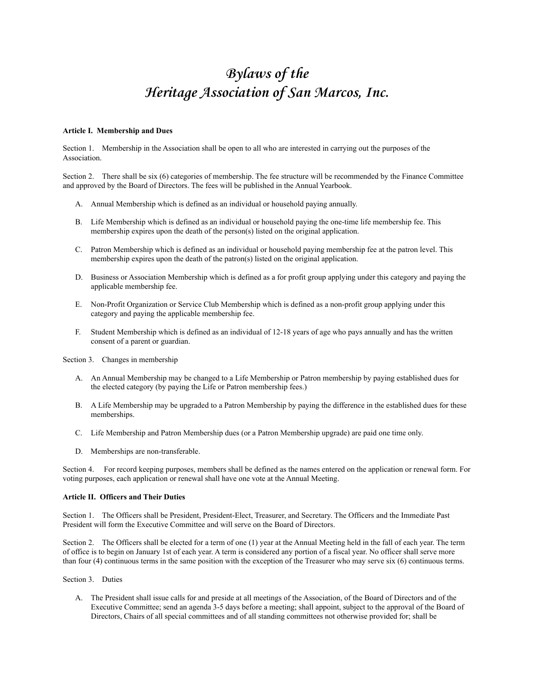# **Bylaws of the Heritage Association of San Marcos, Inc.**

#### **Article I. Membership and Dues**

Section 1. Membership in the Association shall be open to all who are interested in carrying out the purposes of the Association.

Section 2. There shall be six (6) categories of membership. The fee structure will be recommended by the Finance Committee and approved by the Board of Directors. The fees will be published in the Annual Yearbook.

- A. Annual Membership which is defined as an individual or household paying annually.
- B. Life Membership which is defined as an individual or household paying the one-time life membership fee. This membership expires upon the death of the person(s) listed on the original application.
- C. Patron Membership which is defined as an individual or household paying membership fee at the patron level. This membership expires upon the death of the patron(s) listed on the original application.
- D. Business or Association Membership which is defined as a for profit group applying under this category and paying the applicable membership fee.
- E. Non-Profit Organization or Service Club Membership which is defined as a non-profit group applying under this category and paying the applicable membership fee.
- F. Student Membership which is defined as an individual of 12-18 years of age who pays annually and has the written consent of a parent or guardian.

Section 3. Changes in membership

- A. An Annual Membership may be changed to a Life Membership or Patron membership by paying established dues for the elected category (by paying the Life or Patron membership fees.)
- B. A Life Membership may be upgraded to a Patron Membership by paying the difference in the established dues for these memberships.
- C. Life Membership and Patron Membership dues (or a Patron Membership upgrade) are paid one time only.
- D. Memberships are non-transferable.

Section 4. For record keeping purposes, members shall be defined as the names entered on the application or renewal form. For voting purposes, each application or renewal shall have one vote at the Annual Meeting.

#### **Article II. Officers and Their Duties**

Section 1. The Officers shall be President, President-Elect, Treasurer, and Secretary. The Officers and the Immediate Past President will form the Executive Committee and will serve on the Board of Directors.

Section 2. The Officers shall be elected for a term of one (1) year at the Annual Meeting held in the fall of each year. The term of office is to begin on January 1st of each year. A term is considered any portion of a fiscal year. No officer shall serve more than four (4) continuous terms in the same position with the exception of the Treasurer who may serve six (6) continuous terms.

Section 3. Duties

A. The President shall issue calls for and preside at all meetings of the Association, of the Board of Directors and of the Executive Committee; send an agenda 3-5 days before a meeting; shall appoint, subject to the approval of the Board of Directors, Chairs of all special committees and of all standing committees not otherwise provided for; shall be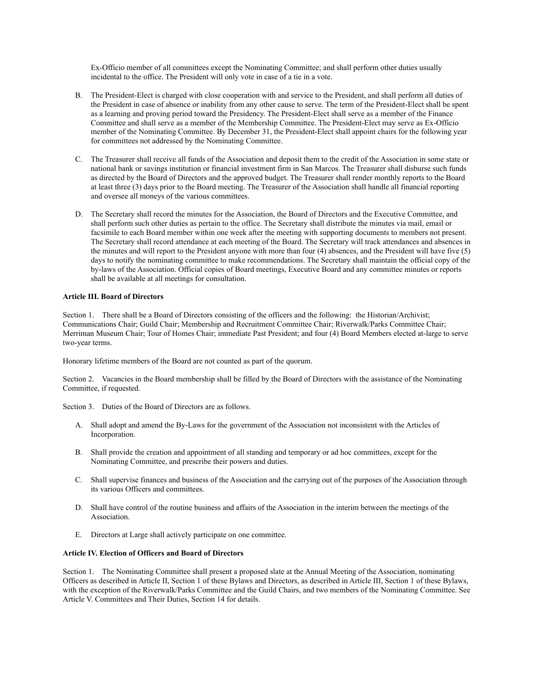Ex-Officio member of all committees except the Nominating Committee; and shall perform other duties usually incidental to the office. The President will only vote in case of a tie in a vote.

- B. The President-Elect is charged with close cooperation with and service to the President, and shall perform all duties of the President in case of absence or inability from any other cause to serve. The term of the President-Elect shall be spent as a learning and proving period toward the Presidency. The President-Elect shall serve as a member of the Finance Committee and shall serve as a member of the Membership Committee. The President-Elect may serve as Ex-Officio member of the Nominating Committee. By December 31, the President-Elect shall appoint chairs for the following year for committees not addressed by the Nominating Committee.
- C. The Treasurer shall receive all funds of the Association and deposit them to the credit of the Association in some state or national bank or savings institution or financial investment firm in San Marcos. The Treasurer shall disburse such funds as directed by the Board of Directors and the approved budget. The Treasurer shall render monthly reports to the Board at least three (3) days prior to the Board meeting. The Treasurer of the Association shall handle all financial reporting and oversee all moneys of the various committees.
- D. The Secretary shall record the minutes for the Association, the Board of Directors and the Executive Committee, and shall perform such other duties as pertain to the office. The Secretary shall distribute the minutes via mail, email or facsimile to each Board member within one week after the meeting with supporting documents to members not present. The Secretary shall record attendance at each meeting of the Board. The Secretary will track attendances and absences in the minutes and will report to the President anyone with more than four (4) absences, and the President will have five (5) days to notify the nominating committee to make recommendations. The Secretary shall maintain the official copy of the by-laws of the Association. Official copies of Board meetings, Executive Board and any committee minutes or reports shall be available at all meetings for consultation.

#### **Article III. Board of Directors**

Section 1. There shall be a Board of Directors consisting of the officers and the following: the Historian/Archivist; Communications Chair; Guild Chair; Membership and Recruitment Committee Chair; Riverwalk/Parks Committee Chair; Merriman Museum Chair; Tour of Homes Chair; immediate Past President; and four (4) Board Members elected at-large to serve two-year terms.

Honorary lifetime members of the Board are not counted as part of the quorum.

Section 2. Vacancies in the Board membership shall be filled by the Board of Directors with the assistance of the Nominating Committee, if requested.

Section 3. Duties of the Board of Directors are as follows.

- A. Shall adopt and amend the By-Laws for the government of the Association not inconsistent with the Articles of Incorporation.
- B. Shall provide the creation and appointment of all standing and temporary or ad hoc committees, except for the Nominating Committee, and prescribe their powers and duties.
- C. Shall supervise finances and business of the Association and the carrying out of the purposes of the Association through its various Officers and committees.
- D. Shall have control of the routine business and affairs of the Association in the interim between the meetings of the Association.
- E. Directors at Large shall actively participate on one committee.

#### **Article IV. Election of Officers and Board of Directors**

Section 1. The Nominating Committee shall present a proposed slate at the Annual Meeting of the Association, nominating Officers as described in Article II, Section 1 of these Bylaws and Directors, as described in Article III, Section 1 of these Bylaws, with the exception of the Riverwalk/Parks Committee and the Guild Chairs, and two members of the Nominating Committee. See Article V. Committees and Their Duties, Section 14 for details.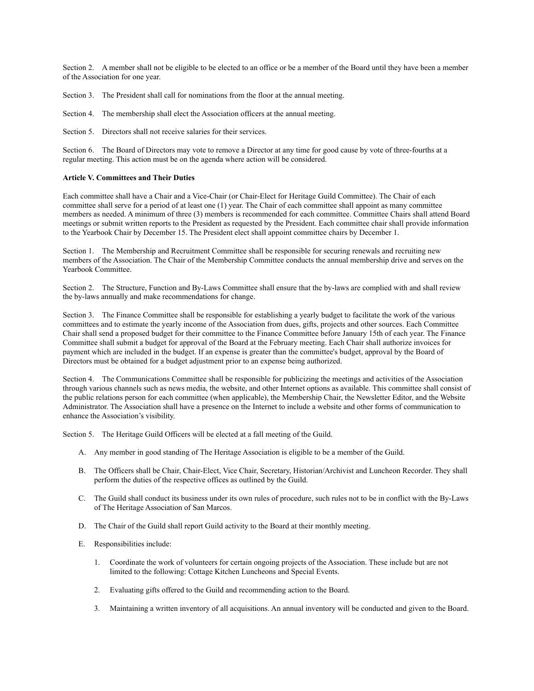Section 2. A member shall not be eligible to be elected to an office or be a member of the Board until they have been a member of the Association for one year.

Section 3. The President shall call for nominations from the floor at the annual meeting.

Section 4. The membership shall elect the Association officers at the annual meeting.

Section 5. Directors shall not receive salaries for their services.

Section 6. The Board of Directors may vote to remove a Director at any time for good cause by vote of three-fourths at a regular meeting. This action must be on the agenda where action will be considered.

## **Article V. Committees and Their Duties**

Each committee shall have a Chair and a Vice-Chair (or Chair-Elect for Heritage Guild Committee). The Chair of each committee shall serve for a period of at least one (1) year. The Chair of each committee shall appoint as many committee members as needed. A minimum of three (3) members is recommended for each committee. Committee Chairs shall attend Board meetings or submit written reports to the President as requested by the President. Each committee chair shall provide information to the Yearbook Chair by December 15. The President elect shall appoint committee chairs by December 1.

Section 1. The Membership and Recruitment Committee shall be responsible for securing renewals and recruiting new members of the Association. The Chair of the Membership Committee conducts the annual membership drive and serves on the Yearbook Committee.

Section 2. The Structure, Function and By-Laws Committee shall ensure that the by-laws are complied with and shall review the by-laws annually and make recommendations for change.

Section 3. The Finance Committee shall be responsible for establishing a yearly budget to facilitate the work of the various committees and to estimate the yearly income of the Association from dues, gifts, projects and other sources. Each Committee Chair shall send a proposed budget for their committee to the Finance Committee before January 15th of each year. The Finance Committee shall submit a budget for approval of the Board at the February meeting. Each Chair shall authorize invoices for payment which are included in the budget. If an expense is greater than the committee's budget, approval by the Board of Directors must be obtained for a budget adjustment prior to an expense being authorized.

Section 4. The Communications Committee shall be responsible for publicizing the meetings and activities of the Association through various channels such as news media, the website, and other Internet options as available. This committee shall consist of the public relations person for each committee (when applicable), the Membership Chair, the Newsletter Editor, and the Website Administrator. The Association shall have a presence on the Internet to include a website and other forms of communication to enhance the Association's visibility.

Section 5. The Heritage Guild Officers will be elected at a fall meeting of the Guild.

- A. Any member in good standing of The Heritage Association is eligible to be a member of the Guild.
- B. The Officers shall be Chair, Chair-Elect, Vice Chair, Secretary, Historian/Archivist and Luncheon Recorder. They shall perform the duties of the respective offices as outlined by the Guild.
- C. The Guild shall conduct its business under its own rules of procedure, such rules not to be in conflict with the By-Laws of The Heritage Association of San Marcos.
- D. The Chair of the Guild shall report Guild activity to the Board at their monthly meeting.
- E. Responsibilities include:
	- 1. Coordinate the work of volunteers for certain ongoing projects of the Association. These include but are not limited to the following: Cottage Kitchen Luncheons and Special Events.
	- 2. Evaluating gifts offered to the Guild and recommending action to the Board.
	- 3. Maintaining a written inventory of all acquisitions. An annual inventory will be conducted and given to the Board.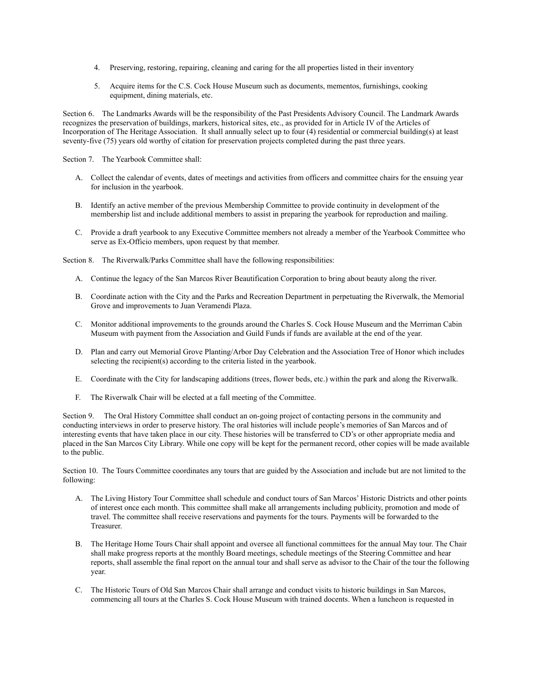- 4. Preserving, restoring, repairing, cleaning and caring for the all properties listed in their inventory
- 5. Acquire items for the C.S. Cock House Museum such as documents, mementos, furnishings, cooking equipment, dining materials, etc.

Section 6. The Landmarks Awards will be the responsibility of the Past Presidents Advisory Council. The Landmark Awards recognizes the preservation of buildings, markers, historical sites, etc., as provided for in Article IV of the Articles of Incorporation of The Heritage Association. It shall annually select up to four (4) residential or commercial building(s) at least seventy-five (75) years old worthy of citation for preservation projects completed during the past three years.

Section 7. The Yearbook Committee shall:

- A. Collect the calendar of events, dates of meetings and activities from officers and committee chairs for the ensuing year for inclusion in the yearbook.
- B. Identify an active member of the previous Membership Committee to provide continuity in development of the membership list and include additional members to assist in preparing the yearbook for reproduction and mailing.
- C. Provide a draft yearbook to any Executive Committee members not already a member of the Yearbook Committee who serve as Ex-Officio members, upon request by that member.

Section 8. The Riverwalk/Parks Committee shall have the following responsibilities:

- A. Continue the legacy of the San Marcos River Beautification Corporation to bring about beauty along the river.
- B. Coordinate action with the City and the Parks and Recreation Department in perpetuating the Riverwalk, the Memorial Grove and improvements to Juan Veramendi Plaza.
- C. Monitor additional improvements to the grounds around the Charles S. Cock House Museum and the Merriman Cabin Museum with payment from the Association and Guild Funds if funds are available at the end of the year.
- D. Plan and carry out Memorial Grove Planting/Arbor Day Celebration and the Association Tree of Honor which includes selecting the recipient(s) according to the criteria listed in the yearbook.
- E. Coordinate with the City for landscaping additions (trees, flower beds, etc.) within the park and along the Riverwalk.
- F. The Riverwalk Chair will be elected at a fall meeting of the Committee.

Section 9. The Oral History Committee shall conduct an on-going project of contacting persons in the community and conducting interviews in order to preserve history. The oral histories will include people's memories of San Marcos and of interesting events that have taken place in our city. These histories will be transferred to CD's or other appropriate media and placed in the San Marcos City Library. While one copy will be kept for the permanent record, other copies will be made available to the public.

Section 10. The Tours Committee coordinates any tours that are guided by the Association and include but are not limited to the following:

- A. The Living History Tour Committee shall schedule and conduct tours of San Marcos' Historic Districts and other points of interest once each month. This committee shall make all arrangements including publicity, promotion and mode of travel. The committee shall receive reservations and payments for the tours. Payments will be forwarded to the Treasurer.
- B. The Heritage Home Tours Chair shall appoint and oversee all functional committees for the annual May tour. The Chair shall make progress reports at the monthly Board meetings, schedule meetings of the Steering Committee and hear reports, shall assemble the final report on the annual tour and shall serve as advisor to the Chair of the tour the following year.
- C. The Historic Tours of Old San Marcos Chair shall arrange and conduct visits to historic buildings in San Marcos, commencing all tours at the Charles S. Cock House Museum with trained docents. When a luncheon is requested in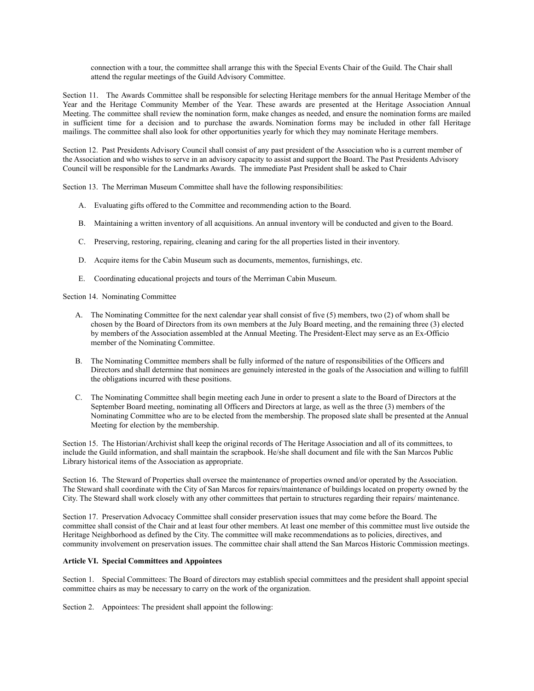connection with a tour, the committee shall arrange this with the Special Events Chair of the Guild. The Chair shall attend the regular meetings of the Guild Advisory Committee.

Section 11. The Awards Committee shall be responsible for selecting Heritage members for the annual Heritage Member of the Year and the Heritage Community Member of the Year. These awards are presented at the Heritage Association Annual Meeting. The committee shall review the nomination form, make changes as needed, and ensure the nomination forms are mailed in sufficient time for a decision and to purchase the awards. Nomination forms may be included in other fall Heritage mailings. The committee shall also look for other opportunities yearly for which they may nominate Heritage members.

Section 12. Past Presidents Advisory Council shall consist of any past president of the Association who is a current member of the Association and who wishes to serve in an advisory capacity to assist and support the Board. The Past Presidents Advisory Council will be responsible for the Landmarks Awards. The immediate Past President shall be asked to Chair

Section 13. The Merriman Museum Committee shall have the following responsibilities:

- A. Evaluating gifts offered to the Committee and recommending action to the Board.
- B. Maintaining a written inventory of all acquisitions. An annual inventory will be conducted and given to the Board.
- C. Preserving, restoring, repairing, cleaning and caring for the all properties listed in their inventory.
- D. Acquire items for the Cabin Museum such as documents, mementos, furnishings, etc.
- E. Coordinating educational projects and tours of the Merriman Cabin Museum.

Section 14. Nominating Committee

- A. The Nominating Committee for the next calendar year shall consist of five (5) members, two (2) of whom shall be chosen by the Board of Directors from its own members at the July Board meeting, and the remaining three (3) elected by members of the Association assembled at the Annual Meeting. The President-Elect may serve as an Ex-Officio member of the Nominating Committee.
- B. The Nominating Committee members shall be fully informed of the nature of responsibilities of the Officers and Directors and shall determine that nominees are genuinely interested in the goals of the Association and willing to fulfill the obligations incurred with these positions.
- C. The Nominating Committee shall begin meeting each June in order to present a slate to the Board of Directors at the September Board meeting, nominating all Officers and Directors at large, as well as the three (3) members of the Nominating Committee who are to be elected from the membership. The proposed slate shall be presented at the Annual Meeting for election by the membership.

Section 15. The Historian/Archivist shall keep the original records of The Heritage Association and all of its committees, to include the Guild information, and shall maintain the scrapbook. He/she shall document and file with the San Marcos Public Library historical items of the Association as appropriate.

Section 16. The Steward of Properties shall oversee the maintenance of properties owned and/or operated by the Association. The Steward shall coordinate with the City of San Marcos for repairs/maintenance of buildings located on property owned by the City. The Steward shall work closely with any other committees that pertain to structures regarding their repairs/ maintenance.

Section 17. Preservation Advocacy Committee shall consider preservation issues that may come before the Board. The committee shall consist of the Chair and at least four other members. At least one member of this committee must live outside the Heritage Neighborhood as defined by the City. The committee will make recommendations as to policies, directives, and community involvement on preservation issues. The committee chair shall attend the San Marcos Historic Commission meetings.

# **Article VI. Special Committees and Appointees**

Section 1. Special Committees: The Board of directors may establish special committees and the president shall appoint special committee chairs as may be necessary to carry on the work of the organization.

Section 2. Appointees: The president shall appoint the following: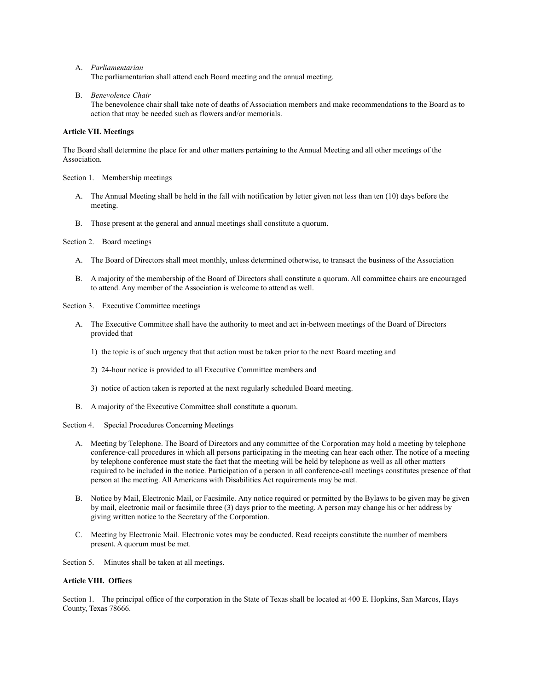A. *Parliamentarian*

The parliamentarian shall attend each Board meeting and the annual meeting.

B. *Benevolence Chair*

The benevolence chair shall take note of deaths of Association members and make recommendations to the Board as to action that may be needed such as flowers and/or memorials.

## **Article VII. Meetings**

The Board shall determine the place for and other matters pertaining to the Annual Meeting and all other meetings of the Association.

Section 1. Membership meetings

- A. The Annual Meeting shall be held in the fall with notification by letter given not less than ten (10) days before the meeting.
- B. Those present at the general and annual meetings shall constitute a quorum.

Section 2. Board meetings

- A. The Board of Directors shall meet monthly, unless determined otherwise, to transact the business of the Association
- B. A majority of the membership of the Board of Directors shall constitute a quorum. All committee chairs are encouraged to attend. Any member of the Association is welcome to attend as well.
- Section 3. Executive Committee meetings
	- A. The Executive Committee shall have the authority to meet and act in-between meetings of the Board of Directors provided that
		- 1) the topic is of such urgency that that action must be taken prior to the next Board meeting and
		- 2) 24-hour notice is provided to all Executive Committee members and
		- 3) notice of action taken is reported at the next regularly scheduled Board meeting.
	- B. A majority of the Executive Committee shall constitute a quorum.

#### Section 4. Special Procedures Concerning Meetings

- A. Meeting by Telephone. The Board of Directors and any committee of the Corporation may hold a meeting by telephone conference-call procedures in which all persons participating in the meeting can hear each other. The notice of a meeting by telephone conference must state the fact that the meeting will be held by telephone as well as all other matters required to be included in the notice. Participation of a person in all conference-call meetings constitutes presence of that person at the meeting. All Americans with Disabilities Act requirements may be met.
- B. Notice by Mail, Electronic Mail, or Facsimile. Any notice required or permitted by the Bylaws to be given may be given by mail, electronic mail or facsimile three (3) days prior to the meeting. A person may change his or her address by giving written notice to the Secretary of the Corporation.
- C. Meeting by Electronic Mail. Electronic votes may be conducted. Read receipts constitute the number of members present. A quorum must be met.

Section 5. Minutes shall be taken at all meetings.

# **Article VIII. Offices**

Section 1. The principal office of the corporation in the State of Texas shall be located at 400 E. Hopkins, San Marcos, Hays County, Texas 78666.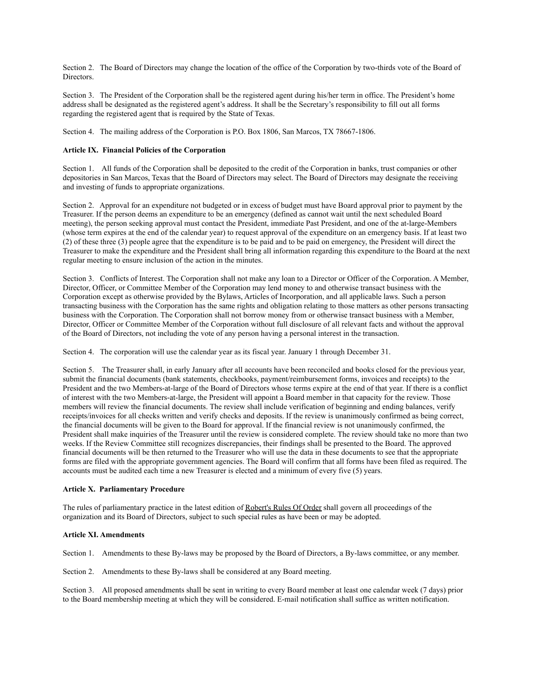Section 2. The Board of Directors may change the location of the office of the Corporation by two-thirds vote of the Board of Directors.

Section 3. The President of the Corporation shall be the registered agent during his/her term in office. The President's home address shall be designated as the registered agent's address. It shall be the Secretary's responsibility to fill out all forms regarding the registered agent that is required by the State of Texas.

Section 4. The mailing address of the Corporation is P.O. Box 1806, San Marcos, TX 78667-1806.

# **Article IX. Financial Policies of the Corporation**

Section 1. All funds of the Corporation shall be deposited to the credit of the Corporation in banks, trust companies or other depositories in San Marcos, Texas that the Board of Directors may select. The Board of Directors may designate the receiving and investing of funds to appropriate organizations.

Section 2. Approval for an expenditure not budgeted or in excess of budget must have Board approval prior to payment by the Treasurer. If the person deems an expenditure to be an emergency (defined as cannot wait until the next scheduled Board meeting), the person seeking approval must contact the President, immediate Past President, and one of the at-large-Members (whose term expires at the end of the calendar year) to request approval of the expenditure on an emergency basis. If at least two (2) of these three (3) people agree that the expenditure is to be paid and to be paid on emergency, the President will direct the Treasurer to make the expenditure and the President shall bring all information regarding this expenditure to the Board at the next regular meeting to ensure inclusion of the action in the minutes.

Section 3. Conflicts of Interest. The Corporation shall not make any loan to a Director or Officer of the Corporation. A Member, Director, Officer, or Committee Member of the Corporation may lend money to and otherwise transact business with the Corporation except as otherwise provided by the Bylaws, Articles of Incorporation, and all applicable laws. Such a person transacting business with the Corporation has the same rights and obligation relating to those matters as other persons transacting business with the Corporation. The Corporation shall not borrow money from or otherwise transact business with a Member, Director, Officer or Committee Member of the Corporation without full disclosure of all relevant facts and without the approval of the Board of Directors, not including the vote of any person having a personal interest in the transaction.

Section 4. The corporation will use the calendar year as its fiscal year. January 1 through December 31.

Section 5. The Treasurer shall, in early January after all accounts have been reconciled and books closed for the previous year, submit the financial documents (bank statements, checkbooks, payment/reimbursement forms, invoices and receipts) to the President and the two Members-at-large of the Board of Directors whose terms expire at the end of that year. If there is a conflict of interest with the two Members-at-large, the President will appoint a Board member in that capacity for the review. Those members will review the financial documents. The review shall include verification of beginning and ending balances, verify receipts/invoices for all checks written and verify checks and deposits. If the review is unanimously confirmed as being correct, the financial documents will be given to the Board for approval. If the financial review is not unanimously confirmed, the President shall make inquiries of the Treasurer until the review is considered complete. The review should take no more than two weeks. If the Review Committee still recognizes discrepancies, their findings shall be presented to the Board. The approved financial documents will be then returned to the Treasurer who will use the data in these documents to see that the appropriate forms are filed with the appropriate government agencies. The Board will confirm that all forms have been filed as required. The accounts must be audited each time a new Treasurer is elected and a minimum of every five (5) years.

#### **Article X. Parliamentary Procedure**

The rules of parliamentary practice in the latest edition of Robert's Rules Of Order shall govern all proceedings of the organization and its Board of Directors, subject to such special rules as have been or may be adopted.

# **Article XI. Amendments**

Section 1. Amendments to these By-laws may be proposed by the Board of Directors, a By-laws committee, or any member.

Section 2. Amendments to these By-laws shall be considered at any Board meeting.

Section 3. All proposed amendments shall be sent in writing to every Board member at least one calendar week (7 days) prior to the Board membership meeting at which they will be considered. E-mail notification shall suffice as written notification.